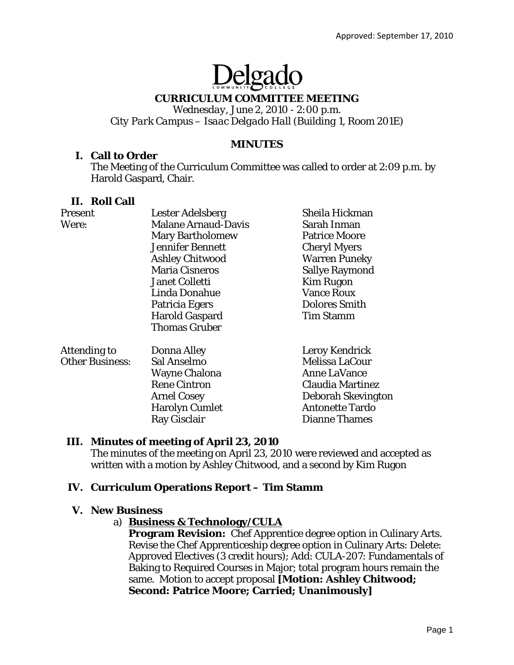# elga

# **CURRICULUM COMMITTEE MEETING**

*Wednesday, June 2, 2010 - 2:00 p.m. City Park Campus – Isaac Delgado Hall (Building 1, Room 201E)* 

## **MINUTES**

## **I. Call to Order**

The Meeting of the Curriculum Committee was called to order at 2:09 p.m. by Harold Gaspard, Chair.

#### **II. Roll Call**

| Present                | <b>Lester Adelsberg</b>    | Sheila Hickman          |
|------------------------|----------------------------|-------------------------|
| Were:                  | <b>Malane Arnaud-Davis</b> | Sarah Inman             |
|                        | <b>Mary Bartholomew</b>    | <b>Patrice Moore</b>    |
|                        | <b>Jennifer Bennett</b>    | <b>Cheryl Myers</b>     |
|                        | <b>Ashley Chitwood</b>     | <b>Warren Puneky</b>    |
|                        | <b>Maria Cisneros</b>      | <b>Sallye Raymond</b>   |
|                        | <b>Janet Colletti</b>      | <b>Kim Rugon</b>        |
|                        | Linda Donahue              | <b>Vance Roux</b>       |
|                        | Patricia Egers             | <b>Dolores Smith</b>    |
|                        | <b>Harold Gaspard</b>      | <b>Tim Stamm</b>        |
|                        | <b>Thomas Gruber</b>       |                         |
| Attending to           | <b>Donna Alley</b>         | Leroy Kendrick          |
| <b>Other Business:</b> | Sal Anselmo                | Melissa LaCour          |
|                        | <b>Wayne Chalona</b>       | <b>Anne LaVance</b>     |
|                        | <b>Rene Cintron</b>        | <b>Claudia Martinez</b> |
|                        | <b>Arnel Cosey</b>         | Deborah Skevington      |
|                        | <b>Harolyn Cumlet</b>      | <b>Antonette Tardo</b>  |
|                        | Ray Gisclair               | <b>Dianne Thames</b>    |

# **III. Minutes of meeting of April 23, 2010**

The minutes of the meeting on April 23, 2010 were reviewed and accepted as written with a motion by Ashley Chitwood, and a second by Kim Rugon

# **IV. Curriculum Operations Report – Tim Stamm**

#### **V. New Business**

#### a) **Business & Technology/CULA**

**Program Revision:** Chef Apprentice degree option in Culinary Arts. Revise the Chef Apprenticeship degree option in Culinary Arts: Delete: Approved Electives (3 credit hours); Add: CULA-207: Fundamentals of Baking to Required Courses in Major; total program hours remain the same. Motion to accept proposal **[Motion: Ashley Chitwood; Second: Patrice Moore; Carried; Unanimously]**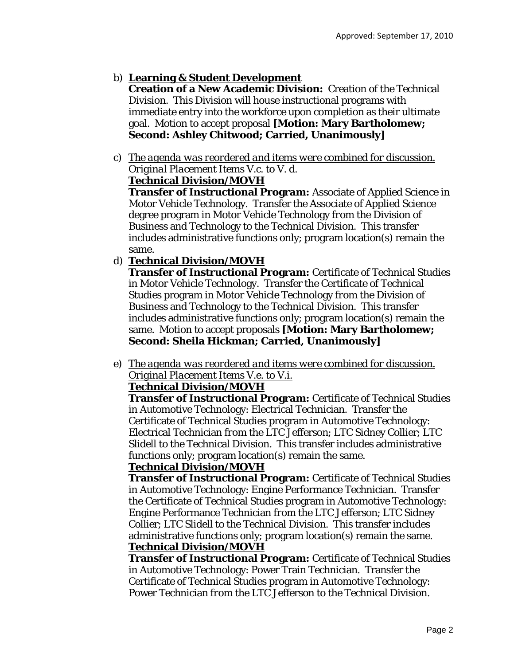# b) **Learning & Student Development**

**Creation of a New Academic Division:** Creation of the Technical Division. This Division will house instructional programs with immediate entry into the workforce upon completion as their ultimate goal. Motion to accept proposal **[Motion: Mary Bartholomew; Second: Ashley Chitwood; Carried, Unanimously]** 

c) *The agenda was reordered and items were combined for discussion. Original Placement Items V.c. to V. d.*

# **Technical Division/MOVH**

**Transfer of Instructional Program:** Associate of Applied Science in Motor Vehicle Technology. Transfer the Associate of Applied Science degree program in Motor Vehicle Technology *from* the Division of Business and Technology *to* the Technical Division. This transfer includes administrative functions only; program location(s) remain the same.

d) **Technical Division/MOVH**

**Transfer of Instructional Program:** Certificate of Technical Studies in Motor Vehicle Technology. Transfer the Certificate of Technical Studies program in Motor Vehicle Technology *from* the Division of Business and Technology *to* the Technical Division. This transfer includes administrative functions only; program location(s) remain the same. Motion to accept proposals **[Motion: Mary Bartholomew; Second: Sheila Hickman; Carried, Unanimously]** 

e) *The agenda was reordered and items were combined for discussion. Original Placement Items V.e. to V.i.* 

# **Technical Division/MOVH**

**Transfer of Instructional Program:** Certificate of Technical Studies in Automotive Technology: Electrical Technician. Transfer the Certificate of Technical Studies program in Automotive Technology: Electrical Technician *from* the LTC Jefferson; LTC Sidney Collier; LTC Slidell *to* the Technical Division. This transfer includes administrative functions only; program location(s) remain the same.

#### **Technical Division/MOVH**

**Transfer of Instructional Program:** Certificate of Technical Studies in Automotive Technology: Engine Performance Technician. Transfer the Certificate of Technical Studies program in Automotive Technology: Engine Performance Technician *from* the LTC Jefferson; LTC Sidney Collier; LTC Slidell *to* the Technical Division. This transfer includes administrative functions only; program location(s) remain the same. **Technical Division/MOVH**

**Transfer of Instructional Program:** Certificate of Technical Studies in Automotive Technology: Power Train Technician. Transfer the Certificate of Technical Studies program in Automotive Technology: Power Technician *from* the LTC Jefferson *to* the Technical Division.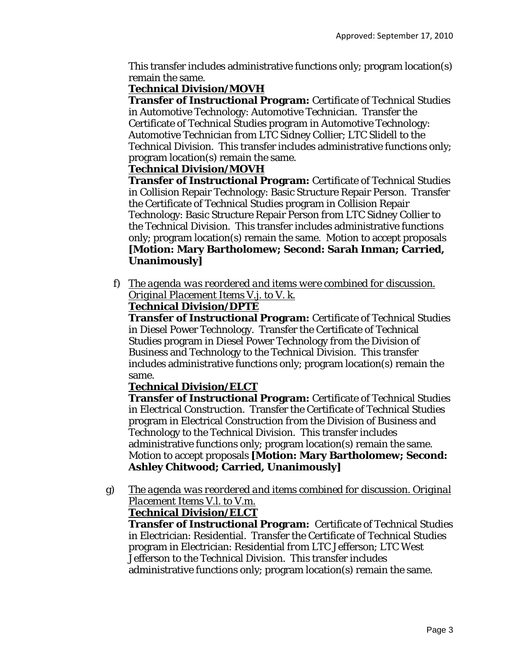This transfer includes administrative functions only; program location(s) remain the same.

# **Technical Division/MOVH**

**Transfer of Instructional Program:** Certificate of Technical Studies in Automotive Technology: Automotive Technician. Transfer the Certificate of Technical Studies program in Automotive Technology: Automotive Technician *from* LTC Sidney Collier; LTC Slidell *to* the Technical Division. This transfer includes administrative functions only; program location(s) remain the same.

# **Technical Division/MOVH**

**Transfer of Instructional Program:** Certificate of Technical Studies in Collision Repair Technology: Basic Structure Repair Person. Transfer the Certificate of Technical Studies program in Collision Repair Technology: Basic Structure Repair Person *from* LTC Sidney Collier *to* the Technical Division. This transfer includes administrative functions only; program location(s) remain the same. Motion to accept proposals **[Motion: Mary Bartholomew; Second: Sarah Inman; Carried, Unanimously]** 

f) *The agenda was reordered and items were combined for discussion. Original Placement Items V.j. to V. k.*

# **Technical Division/DPTE**

**Transfer of Instructional Program:** Certificate of Technical Studies in Diesel Power Technology. Transfer the Certificate of Technical Studies program in Diesel Power Technology *from* the Division of Business and Technology *to* the Technical Division. This transfer includes administrative functions only; program location(s) remain the same.

# **Technical Division/ELCT**

**Transfer of Instructional Program:** Certificate of Technical Studies in Electrical Construction. Transfer the Certificate of Technical Studies program in Electrical Construction *from* the Division of Business and Technology *to* the Technical Division. This transfer includes administrative functions only; program location(s) remain the same. Motion to accept proposals **[Motion: Mary Bartholomew; Second: Ashley Chitwood; Carried, Unanimously]** 

g) *The agenda was reordered and items combined for discussion. Original Placement Items V.l. to V.m.* 

# **Technical Division/ELCT**

**Transfer of Instructional Program:** Certificate of Technical Studies in Electrician: Residential. Transfer the Certificate of Technical Studies program in Electrician: Residential *from* LTC Jefferson; LTC West Jefferson *to* the Technical Division. This transfer includes administrative functions only; program location(s) remain the same.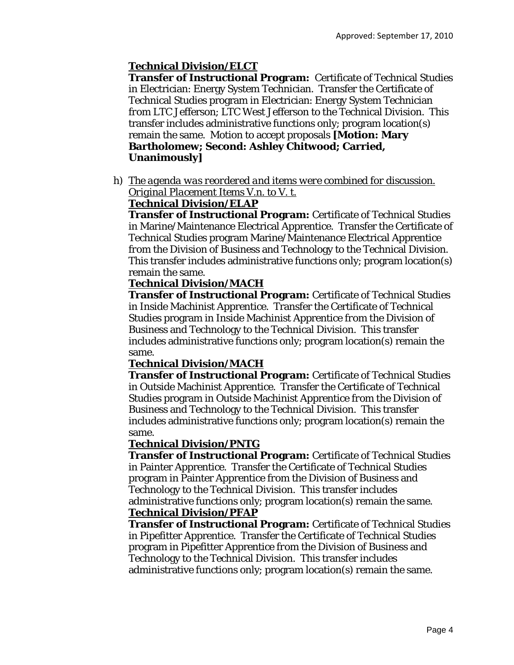# **Technical Division/ELCT**

**Transfer of Instructional Program:** Certificate of Technical Studies in Electrician: Energy System Technician. Transfer the Certificate of Technical Studies program in Electrician: Energy System Technician *from* LTC Jefferson; LTC West Jefferson *to* the Technical Division. This transfer includes administrative functions only; program location(s) remain the same. Motion to accept proposals **[Motion: Mary Bartholomew; Second: Ashley Chitwood; Carried, Unanimously]** 

h) *The agenda was reordered and items were combined for discussion. Original Placement Items V.n. to V. t.*

## **Technical Division/ELAP**

**Transfer of Instructional Program:** Certificate of Technical Studies in Marine/Maintenance Electrical Apprentice. Transfer the Certificate of Technical Studies program Marine/Maintenance Electrical Apprentice *from* the Division of Business and Technology *to* the Technical Division. This transfer includes administrative functions only; program location(s) remain the same.

### **Technical Division/MACH**

**Transfer of Instructional Program:** Certificate of Technical Studies in Inside Machinist Apprentice. Transfer the Certificate of Technical Studies program in Inside Machinist Apprentice *from* the Division of Business and Technology *to* the Technical Division. This transfer includes administrative functions only; program location(s) remain the same.

#### **Technical Division/MACH**

**Transfer of Instructional Program:** Certificate of Technical Studies in Outside Machinist Apprentice. Transfer the Certificate of Technical Studies program in Outside Machinist Apprentice *from* the Division of Business and Technology *to* the Technical Division. This transfer includes administrative functions only; program location(s) remain the same.

#### **Technical Division/PNTG**

**Transfer of Instructional Program:** Certificate of Technical Studies in Painter Apprentice. Transfer the Certificate of Technical Studies program in Painter Apprentice *from* the Division of Business and Technology *to* the Technical Division. This transfer includes administrative functions only; program location(s) remain the same. **Technical Division/PFAP**

**Transfer of Instructional Program:** Certificate of Technical Studies in Pipefitter Apprentice. Transfer the Certificate of Technical Studies program in Pipefitter Apprentice *from* the Division of Business and Technology *to* the Technical Division. This transfer includes administrative functions only; program location(s) remain the same.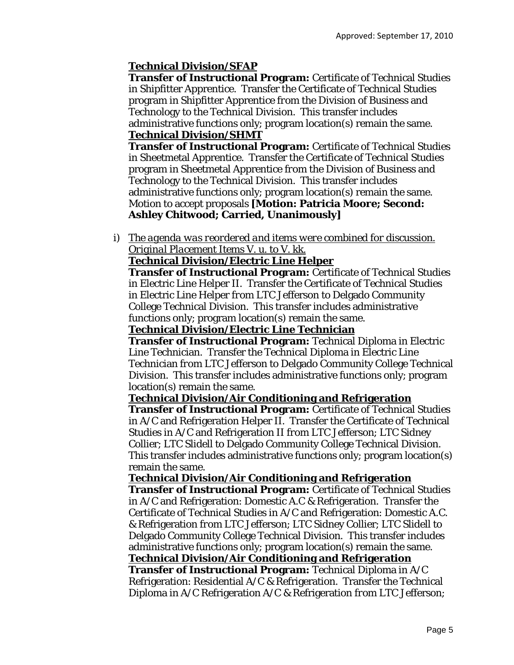# **Technical Division/SFAP**

**Transfer of Instructional Program:** Certificate of Technical Studies in Shipfitter Apprentice. Transfer the Certificate of Technical Studies program in Shipfitter Apprentice *from* the Division of Business and Technology *to* the Technical Division. This transfer includes administrative functions only; program location(s) remain the same. **Technical Division/SHMT**

**Transfer of Instructional Program:** Certificate of Technical Studies in Sheetmetal Apprentice. Transfer the Certificate of Technical Studies program in Sheetmetal Apprentice *from* the Division of Business and Technology *to* the Technical Division. This transfer includes administrative functions only; program location(s) remain the same. Motion to accept proposals **[Motion: Patricia Moore; Second: Ashley Chitwood; Carried, Unanimously]** 

i) *The agenda was reordered and items were combined for discussion. Original Placement Items V. u. to V. kk.*

#### **Technical Division/Electric Line Helper**

**Transfer of Instructional Program:** Certificate of Technical Studies in Electric Line Helper II. Transfer the Certificate of Technical Studies in Electric Line Helper *from* LTC Jefferson *to* Delgado Community College Technical Division. This transfer includes administrative functions only; program location(s) remain the same.

#### **Technical Division/Electric Line Technician**

**Transfer of Instructional Program:** Technical Diploma in Electric Line Technician. Transfer the Technical Diploma in Electric Line Technician *from* LTC Jefferson *to* Delgado Community College Technical Division. This transfer includes administrative functions only; program location(s) remain the same.

#### **Technical Division/Air Conditioning and Refrigeration**

**Transfer of Instructional Program:** Certificate of Technical Studies in A/C and Refrigeration Helper II. Transfer the Certificate of Technical Studies in A/C and Refrigeration II *from* LTC Jefferson; LTC Sidney Collier; LTC Slidell *to* Delgado Community College Technical Division. This transfer includes administrative functions only; program location(s) remain the same.

#### **Technical Division/Air Conditioning and Refrigeration**

**Transfer of Instructional Program:** Certificate of Technical Studies in A/C and Refrigeration: Domestic A.C & Refrigeration. Transfer the Certificate of Technical Studies in A/C and Refrigeration: Domestic A.C. & Refrigeration *from* LTC Jefferson; LTC Sidney Collier; LTC Slidell *to* Delgado Community College Technical Division. This transfer includes administrative functions only; program location(s) remain the same.

# **Technical Division/Air Conditioning and Refrigeration**

**Transfer of Instructional Program:** Technical Diploma in A/C Refrigeration: Residential A/C & Refrigeration. Transfer the Technical Diploma in A/C Refrigeration A/C & Refrigeration *from* LTC Jefferson;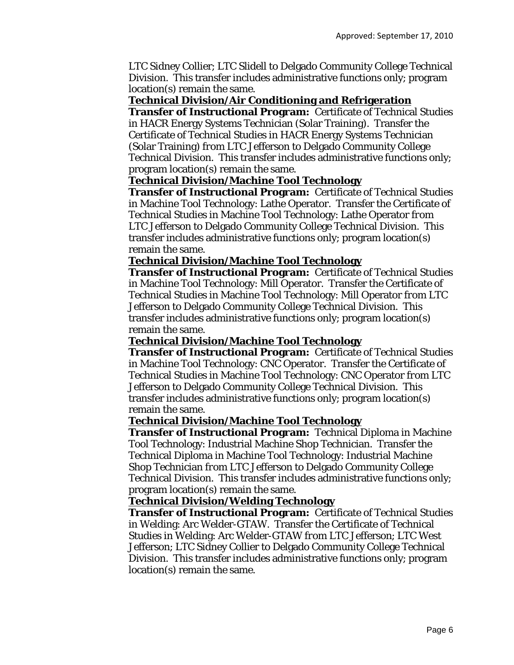LTC Sidney Collier; LTC Slidell *to* Delgado Community College Technical Division. This transfer includes administrative functions only; program location(s) remain the same.

#### **Technical Division/Air Conditioning and Refrigeration**

**Transfer of Instructional Program:** Certificate of Technical Studies in HACR Energy Systems Technician (Solar Training). Transfer the Certificate of Technical Studies in HACR Energy Systems Technician (Solar Training) *from* LTC Jefferson *to* Delgado Community College Technical Division. This transfer includes administrative functions only; program location(s) remain the same.

#### **Technical Division/Machine Tool Technology**

**Transfer of Instructional Program:** Certificate of Technical Studies in Machine Tool Technology: Lathe Operator. Transfer the Certificate of Technical Studies in Machine Tool Technology: Lathe Operator *from* LTC Jefferson *to* Delgado Community College Technical Division. This transfer includes administrative functions only; program location(s) remain the same.

#### **Technical Division/Machine Tool Technology**

**Transfer of Instructional Program:** Certificate of Technical Studies in Machine Tool Technology: Mill Operator. Transfer the Certificate of Technical Studies in Machine Tool Technology: Mill Operator *from* LTC Jefferson *to* Delgado Community College Technical Division. This transfer includes administrative functions only; program location(s) remain the same.

#### **Technical Division/Machine Tool Technology**

**Transfer of Instructional Program:** Certificate of Technical Studies in Machine Tool Technology: CNC Operator. Transfer the Certificate of Technical Studies in Machine Tool Technology: CNC Operator *from* LTC Jefferson *to* Delgado Community College Technical Division. This transfer includes administrative functions only; program location(s) remain the same.

#### **Technical Division/Machine Tool Technology**

**Transfer of Instructional Program:** Technical Diploma in Machine Tool Technology: Industrial Machine Shop Technician. Transfer the Technical Diploma in Machine Tool Technology: Industrial Machine Shop Technician *from* LTC Jefferson *to* Delgado Community College Technical Division. This transfer includes administrative functions only; program location(s) remain the same.

#### **Technical Division/Welding Technology**

**Transfer of Instructional Program:** Certificate of Technical Studies in Welding: Arc Welder-GTAW. Transfer the Certificate of Technical Studies in Welding: Arc Welder-GTAW *from* LTC Jefferson; LTC West Jefferson; LTC Sidney Collier *to* Delgado Community College Technical Division. This transfer includes administrative functions only; program location(s) remain the same.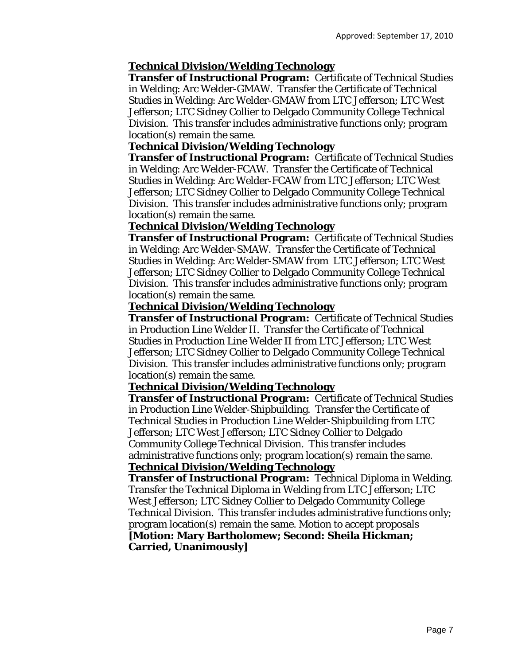#### **Technical Division/Welding Technology**

**Transfer of Instructional Program:** Certificate of Technical Studies in Welding: Arc Welder-GMAW. Transfer the Certificate of Technical Studies in Welding: Arc Welder-GMAW *from* LTC Jefferson; LTC West Jefferson; LTC Sidney Collier *to* Delgado Community College Technical Division. This transfer includes administrative functions only; program location(s) remain the same.

#### **Technical Division/Welding Technology**

**Transfer of Instructional Program:** Certificate of Technical Studies in Welding: Arc Welder-FCAW. Transfer the Certificate of Technical Studies in Welding: Arc Welder-FCAW *from* LTC Jefferson; LTC West Jefferson; LTC Sidney Collier *to* Delgado Community College Technical Division. This transfer includes administrative functions only; program location(s) remain the same.

#### **Technical Division/Welding Technology**

**Transfer of Instructional Program:** Certificate of Technical Studies in Welding: Arc Welder-SMAW. Transfer the Certificate of Technical Studies in Welding: Arc Welder-SMAW *from* LTC Jefferson; LTC West Jefferson; LTC Sidney Collier *to* Delgado Community College Technical Division. This transfer includes administrative functions only; program location(s) remain the same.

#### **Technical Division/Welding Technology**

**Transfer of Instructional Program:** Certificate of Technical Studies in Production Line Welder II. Transfer the Certificate of Technical Studies in Production Line Welder II *from* LTC Jefferson; LTC West Jefferson; LTC Sidney Collier *to* Delgado Community College Technical Division. This transfer includes administrative functions only; program location(s) remain the same.

#### **Technical Division/Welding Technology**

**Transfer of Instructional Program:** Certificate of Technical Studies in Production Line Welder-Shipbuilding. Transfer the Certificate of Technical Studies in Production Line Welder-Shipbuilding *from* LTC Jefferson; LTC West Jefferson; LTC Sidney Collier *to* Delgado Community College Technical Division. This transfer includes administrative functions only; program location(s) remain the same. **Technical Division/Welding Technology**

**Transfer of Instructional Program:** Technical Diploma in Welding. Transfer the Technical Diploma in Welding *from* LTC Jefferson; LTC West Jefferson; LTC Sidney Collier *to* Delgado Community College Technical Division. This transfer includes administrative functions only; program location(s) remain the same. Motion to accept proposals **[Motion: Mary Bartholomew; Second: Sheila Hickman; Carried, Unanimously]**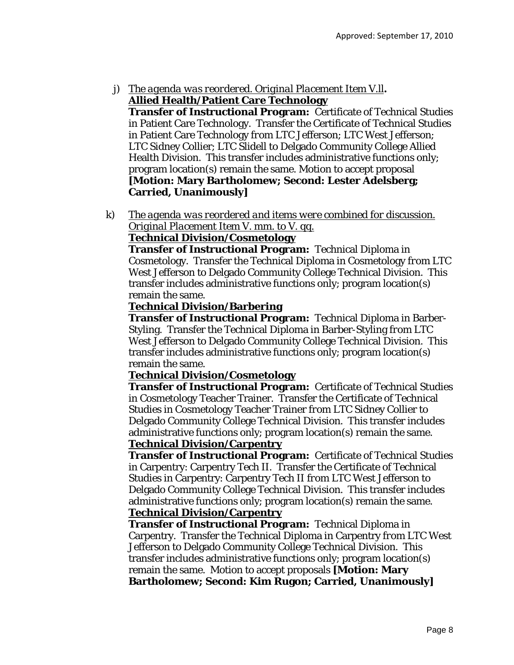j) *The agenda was reordered. Original Placement Item V.ll***. Allied Health/Patient Care Technology**

**Transfer of Instructional Program:** Certificate of Technical Studies in Patient Care Technology. Transfer the Certificate of Technical Studies in Patient Care Technology *from* LTC Jefferson; LTC West Jefferson; LTC Sidney Collier; LTC Slidell *to* Delgado Community College Allied Health Division. This transfer includes administrative functions only; program location(s) remain the same. Motion to accept proposal **[Motion: Mary Bartholomew; Second: Lester Adelsberg; Carried, Unanimously]** 

k) *The agenda was reordered and items were combined for discussion. Original Placement Item V. mm. to V. qq.*

# **Technical Division/Cosmetology**

**Transfer of Instructional Program:** Technical Diploma in Cosmetology. Transfer the Technical Diploma in Cosmetology *from* LTC West Jefferson *to* Delgado Community College Technical Division. This transfer includes administrative functions only; program location(s) remain the same.

# **Technical Division/Barbering**

**Transfer of Instructional Program:** Technical Diploma in Barber-Styling. Transfer the Technical Diploma in Barber-Styling *from* LTC West Jefferson *to* Delgado Community College Technical Division. This transfer includes administrative functions only; program location(s) remain the same.

# **Technical Division/Cosmetology**

**Transfer of Instructional Program:** Certificate of Technical Studies in Cosmetology Teacher Trainer. Transfer the Certificate of Technical Studies in Cosmetology Teacher Trainer *from* LTC Sidney Collier *to* Delgado Community College Technical Division. This transfer includes administrative functions only; program location(s) remain the same. **Technical Division/Carpentry**

**Transfer of Instructional Program:** Certificate of Technical Studies in Carpentry: Carpentry Tech II. Transfer the Certificate of Technical Studies in Carpentry: Carpentry Tech II *from* LTC West Jefferson *to* Delgado Community College Technical Division. This transfer includes administrative functions only; program location(s) remain the same. **Technical Division/Carpentry**

**Transfer of Instructional Program:** Technical Diploma in Carpentry. Transfer the Technical Diploma in Carpentry *from* LTC West Jefferson *to* Delgado Community College Technical Division. This transfer includes administrative functions only; program location(s) remain the same. Motion to accept proposals **[Motion: Mary Bartholomew; Second: Kim Rugon; Carried, Unanimously]**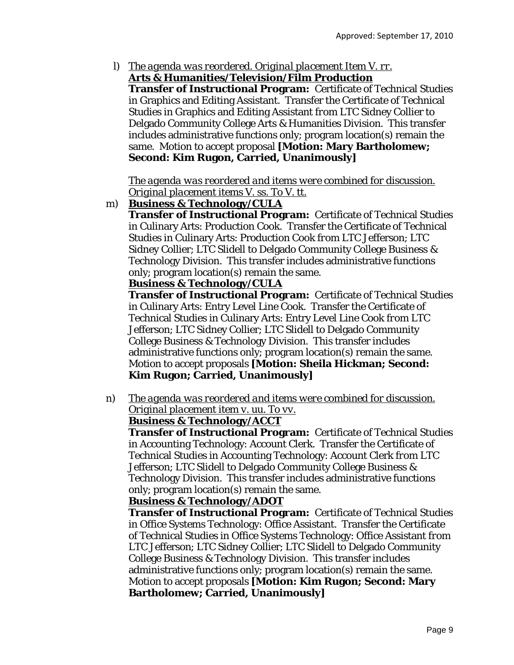l) *The agenda was reordered. Original placement Item V. rr.*  **Arts & Humanities/Television/Film Production**

**Transfer of Instructional Program:** Certificate of Technical Studies in Graphics and Editing Assistant. Transfer the Certificate of Technical Studies in Graphics and Editing Assistant *from* LTC Sidney Collier *to*  Delgado Community College Arts & Humanities Division. This transfer includes administrative functions only; program location(s) remain the same. Motion to accept proposal **[Motion: Mary Bartholomew; Second: Kim Rugon, Carried, Unanimously]** 

*The agenda was reordered and items were combined for discussion. Original placement items V. ss. To V. tt.* 

m) **Business & Technology/CULA**

**Transfer of Instructional Program:** Certificate of Technical Studies in Culinary Arts: Production Cook. Transfer the Certificate of Technical Studies in Culinary Arts: Production Cook *from* LTC Jefferson; LTC Sidney Collier; LTC Slidell *to* Delgado Community College Business & Technology Division. This transfer includes administrative functions only; program location(s) remain the same.

# **Business & Technology/CULA**

**Transfer of Instructional Program:** Certificate of Technical Studies in Culinary Arts: Entry Level Line Cook. Transfer the Certificate of Technical Studies in Culinary Arts: Entry Level Line Cook *from* LTC Jefferson; LTC Sidney Collier; LTC Slidell *to* Delgado Community College Business & Technology Division. This transfer includes administrative functions only; program location(s) remain the same. Motion to accept proposals **[Motion: Sheila Hickman; Second: Kim Rugon; Carried, Unanimously]** 

n) *The agenda was reordered and items were combined for discussion. Original placement item v. uu. To vv.* 

# **Business & Technology/ACCT**

**Transfer of Instructional Program:** Certificate of Technical Studies in Accounting Technology: Account Clerk. Transfer the Certificate of Technical Studies in Accounting Technology: Account Clerk *from* LTC Jefferson; LTC Slidell *to* Delgado Community College Business & Technology Division. This transfer includes administrative functions only; program location(s) remain the same.

# **Business & Technology/ADOT**

**Transfer of Instructional Program:** Certificate of Technical Studies in Office Systems Technology: Office Assistant. Transfer the Certificate of Technical Studies in Office Systems Technology: Office Assistant *from* LTC Jefferson; LTC Sidney Collier; LTC Slidell *to* Delgado Community College Business & Technology Division. This transfer includes administrative functions only; program location(s) remain the same. Motion to accept proposals **[Motion: Kim Rugon; Second: Mary Bartholomew; Carried, Unanimously]**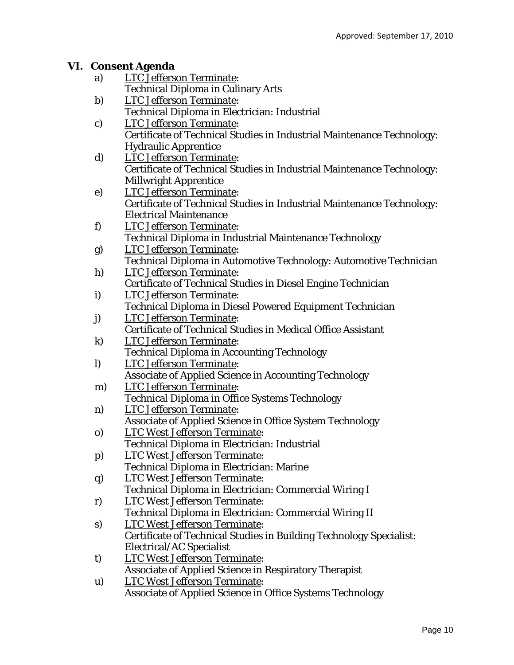## **VI. Consent Agenda**

- a) LTC Jefferson Terminate: Technical Diploma in Culinary Arts
- b) LTC Jefferson Terminate: Technical Diploma in Electrician: Industrial
- c) LTC Jefferson Terminate: Certificate of Technical Studies in Industrial Maintenance Technology: Hydraulic Apprentice
- d) LTC Jefferson Terminate: Certificate of Technical Studies in Industrial Maintenance Technology: Millwright Apprentice
- e) LTC Jefferson Terminate: Certificate of Technical Studies in Industrial Maintenance Technology: Electrical Maintenance
- f) LTC Jefferson Terminate: Technical Diploma in Industrial Maintenance Technology
- g) LTC Jefferson Terminate: Technical Diploma in Automotive Technology: Automotive Technician h) LTC Jefferson Terminate:
- Certificate of Technical Studies in Diesel Engine Technician
- i) LTC Jefferson Terminate: Technical Diploma in Diesel Powered Equipment Technician
- j) LTC Jefferson Terminate: Certificate of Technical Studies in Medical Office Assistant k) LTC Jefferson Terminate:
	- Technical Diploma in Accounting Technology
- l) LTC Jefferson Terminate: Associate of Applied Science in Accounting Technology
- m) LTC Jefferson Terminate: Technical Diploma in Office Systems Technology
- n) LTC Jefferson Terminate: Associate of Applied Science in Office System Technology
- o) LTC West Jefferson Terminate: Technical Diploma in Electrician: Industrial
- p) LTC West Jefferson Terminate: Technical Diploma in Electrician: Marine
- q) LTC West Jefferson Terminate: Technical Diploma in Electrician: Commercial Wiring I
- r) LTC West Jefferson Terminate: Technical Diploma in Electrician: Commercial Wiring II
- s) LTC West Jefferson Terminate: Certificate of Technical Studies in Building Technology Specialist: Electrical/AC Specialist
- t) LTC West Jefferson Terminate: Associate of Applied Science in Respiratory Therapist
- u) LTC West Jefferson Terminate: Associate of Applied Science in Office Systems Technology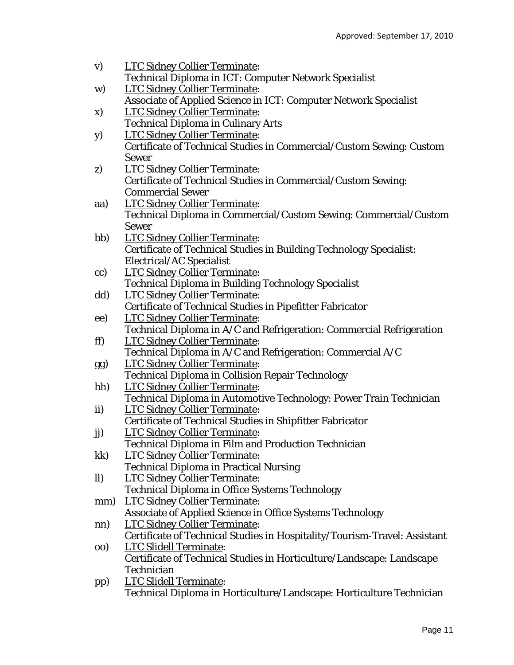| $\mathbf{v})$ | <b>LTC Sidney Collier Terminate:</b>                                                                     |
|---------------|----------------------------------------------------------------------------------------------------------|
|               | Technical Diploma in ICT: Computer Network Specialist                                                    |
| W)            | <b>LTC Sidney Collier Terminate:</b>                                                                     |
|               | Associate of Applied Science in ICT: Computer Network Specialist                                         |
| X)            | <b>LTC Sidney Collier Terminate:</b>                                                                     |
|               | <b>Technical Diploma in Culinary Arts</b>                                                                |
| <b>y</b> )    | <b>LTC Sidney Collier Terminate:</b>                                                                     |
|               | Certificate of Technical Studies in Commercial/Custom Sewing: Custom                                     |
|               | <b>Sewer</b>                                                                                             |
| z)            | <b>LTC Sidney Collier Terminate:</b>                                                                     |
|               | Certificate of Technical Studies in Commercial/Custom Sewing:                                            |
|               | <b>Commercial Sewer</b>                                                                                  |
| aa)           | <b>LTC Sidney Collier Terminate:</b>                                                                     |
|               | Technical Diploma in Commercial/Custom Sewing: Commercial/Custom                                         |
|               | <b>Sewer</b>                                                                                             |
| bb)           | <b>LTC Sidney Collier Terminate:</b>                                                                     |
|               | <b>Certificate of Technical Studies in Building Technology Specialist:</b>                               |
|               | <b>Electrical/AC Specialist</b>                                                                          |
| cc)           | <b>LTC Sidney Collier Terminate:</b>                                                                     |
|               | <b>Technical Diploma in Building Technology Specialist</b>                                               |
| dd)           | <b>LTC Sidney Collier Terminate:</b>                                                                     |
|               | <b>Certificate of Technical Studies in Pipefitter Fabricator</b>                                         |
| ee)           | <b>LTC Sidney Collier Terminate:</b>                                                                     |
|               | Technical Diploma in A/C and Refrigeration: Commercial Refrigeration                                     |
| ff)           | <b>LTC Sidney Collier Terminate:</b>                                                                     |
|               | Technical Diploma in A/C and Refrigeration: Commercial A/C                                               |
| gg)           | <b>LTC Sidney Collier Terminate:</b>                                                                     |
|               | <b>Technical Diploma in Collision Repair Technology</b>                                                  |
| hh)           | <b>LTC Sidney Collier Terminate:</b>                                                                     |
|               | Technical Diploma in Automotive Technology: Power Train Technician                                       |
| ii)           | <b>LTC Sidney Collier Terminate:</b>                                                                     |
|               | <b>Certificate of Technical Studies in Shipfitter Fabricator</b><br><b>LTC Sidney Collier Terminate:</b> |
| jj)           | Technical Diploma in Film and Production Technician                                                      |
| kk)           | <b>LTC Sidney Collier Terminate:</b>                                                                     |
|               | <b>Technical Diploma in Practical Nursing</b>                                                            |
| $\mathbf{ll}$ | <b>LTC Sidney Collier Terminate:</b>                                                                     |
|               | <b>Technical Diploma in Office Systems Technology</b>                                                    |
| mm)           | <b>LTC Sidney Collier Terminate:</b>                                                                     |
|               | <b>Associate of Applied Science in Office Systems Technology</b>                                         |
| nn)           | <b>LTC Sidney Collier Terminate:</b>                                                                     |
|               | Certificate of Technical Studies in Hospitality/Tourism-Travel: Assistant                                |
| 00)           | <b>LTC Slidell Terminate:</b>                                                                            |
|               | Certificate of Technical Studies in Horticulture/Landscape: Landscape                                    |
|               | <b>Technician</b>                                                                                        |
| pp)           | <b>LTC Slidell Terminate:</b>                                                                            |
|               | Technical Diploma in Horticulture/Landscape: Horticulture Technician                                     |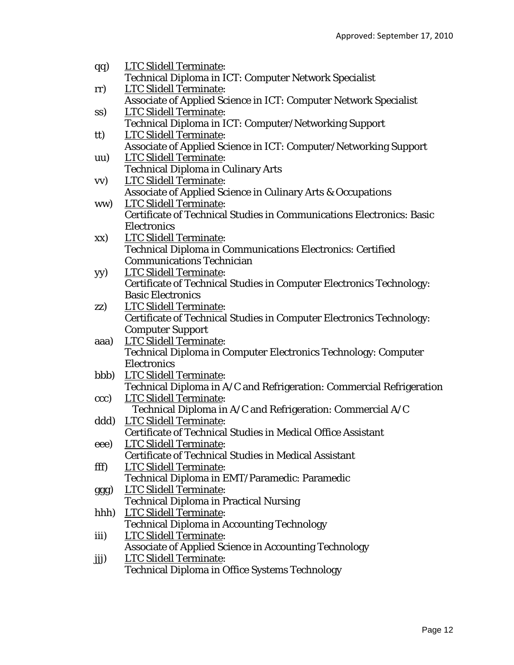| $\mathbf{q}\mathbf{q}$ | <b>LTC Slidell Terminate:</b>                                         |
|------------------------|-----------------------------------------------------------------------|
|                        | Technical Diploma in ICT: Computer Network Specialist                 |
| rr)                    | <b>LTC Slidell Terminate:</b>                                         |
|                        | Associate of Applied Science in ICT: Computer Network Specialist      |
| SS)                    | <b>LTC Slidell Terminate:</b>                                         |
|                        | Technical Diploma in ICT: Computer/Networking Support                 |
| tt)                    | <b>LTC Slidell Terminate:</b>                                         |
|                        | Associate of Applied Science in ICT: Computer/Networking Support      |
| $\mathbf{u}\mathbf{u}$ | <b>LTC Slidell Terminate:</b>                                         |
|                        | <b>Technical Diploma in Culinary Arts</b>                             |
| $\mathbf{v}$           | <b>LTC Slidell Terminate:</b>                                         |
|                        | Associate of Applied Science in Culinary Arts & Occupations           |
| ww)                    | <b>LTC Slidell Terminate:</b>                                         |
|                        | Certificate of Technical Studies in Communications Electronics: Basic |
|                        | <b>Electronics</b>                                                    |
| XX)                    | <b>LTC Slidell Terminate:</b>                                         |
|                        | Technical Diploma in Communications Electronics: Certified            |
|                        | <b>Communications Technician</b>                                      |
| yy)                    | <b>LTC Slidell Terminate:</b>                                         |
|                        | Certificate of Technical Studies in Computer Electronics Technology:  |
|                        | <b>Basic Electronics</b>                                              |
| ZZ)                    | <b>LTC Slidell Terminate:</b>                                         |
|                        | Certificate of Technical Studies in Computer Electronics Technology:  |
|                        | <b>Computer Support</b>                                               |
| aaa)                   | <b>LTC Slidell Terminate:</b>                                         |
|                        | Technical Diploma in Computer Electronics Technology: Computer        |
|                        | <b>Electronics</b>                                                    |
| bbb)                   | <b>LTC Slidell Terminate:</b>                                         |
|                        | Technical Diploma in A/C and Refrigeration: Commercial Refrigeration  |
| ccc)                   | <b>LTC Slidell Terminate:</b>                                         |
|                        | Technical Diploma in A/C and Refrigeration: Commercial A/C            |
| ddd)                   | <b>LTC Slidell Terminate:</b>                                         |
|                        | Certificate of Technical Studies in Medical Office Assistant          |
| eee)                   | <b>LTC Slidell Terminate:</b>                                         |
|                        | <b>Certificate of Technical Studies in Medical Assistant</b>          |
| fff)                   | <b>LTC Slidell Terminate:</b>                                         |
|                        | Technical Diploma in EMT/Paramedic: Paramedic                         |
| ggg)                   | <b>LTC Slidell Terminate:</b>                                         |
|                        | <b>Technical Diploma in Practical Nursing</b>                         |
| hhh)                   | <b>LTC Slidell Terminate:</b>                                         |
|                        | <b>Technical Diploma in Accounting Technology</b>                     |
| iii)                   | <b>LTC Slidell Terminate:</b>                                         |
|                        | <b>Associate of Applied Science in Accounting Technology</b>          |
| jij)                   | <b>LTC Slidell Terminate:</b>                                         |
|                        | <b>Technical Diploma in Office Systems Technology</b>                 |